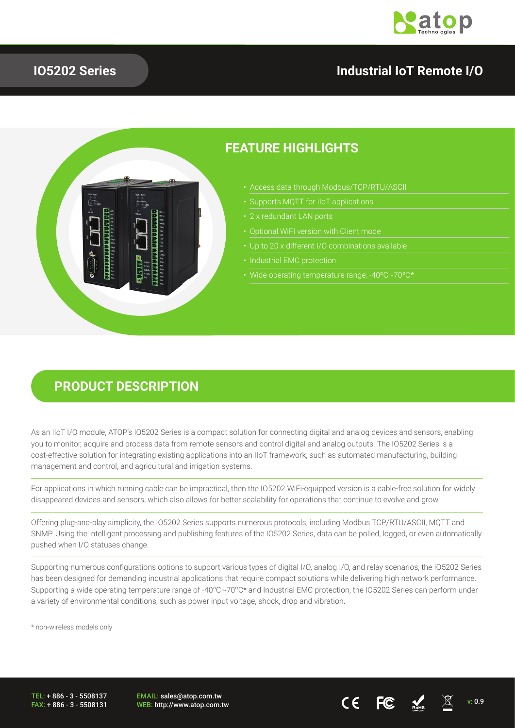

## **IO5202 Series**

## **Industrial IoT Remote I/O**



## **FEATURE HIGHLIGHTS**

- Access data through Modbus/TCP/RTU/ASCII
- 
- 
- 
- 
- 
- Wide operating temperature range: -40ºC~70ºC\*

## **PRODUCT DESCRIPTION**

As an IIoT I/O module, ATOP's IO5202 Series is a compact solution for connecting digital and analog devices and sensors, enabling you to monitor, acquire and process data from remote sensors and control digital and analog outputs. The IO5202 Series is a cost-effective solution for integrating existing applications into an IIoT framework, such as automated manufacturing, building management and control, and agricultural and irrigation systems.

For applications in which running cable can be impractical, then the IO5202 WiFi-equipped version is a cable-free solution for widely disappeared devices and sensors, which also allows for better scalability for operations that continue to evolve and grow.

Offering plug-and-play simplicity, the IO5202 Series supports numerous protocols, including Modbus TCP/RTU/ASCII, MQTT and SNMP. Using the intelligent processing and publishing features of the IO5202 Series, data can be polled, logged, or even automatically pushed when I/O statuses change.

Supporting numerous configurations options to support various types of digital I/O, analog I/O, and relay scenarios, the IO5202 Series has been designed for demanding industrial applications that require compact solutions while delivering high network performance. Supporting a wide operating temperature range of -40ºC~70ºC\* and Industrial EMC protection, the IO5202 Series can perform under a variety of environmental conditions, such as power input voltage, shock, drop and vibration.

\* non-wireless models only

TEL: + 886 - 3 - 5508137 FAX: + 886 - 3 - 5508131 EMAIL: sales@atop.com.tw

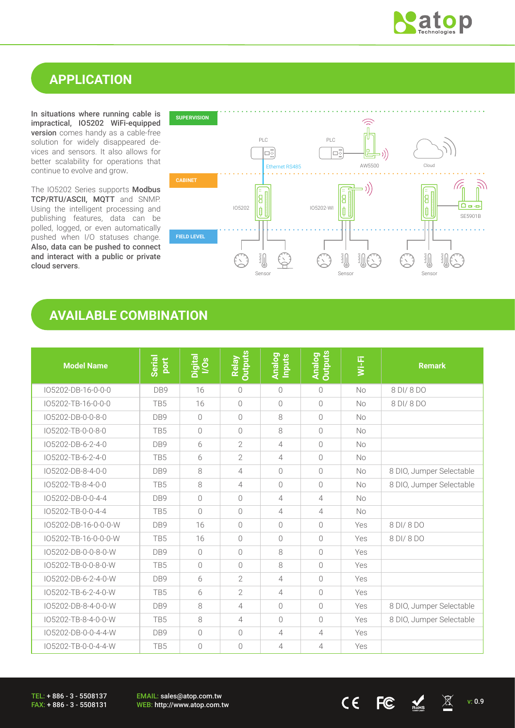

## **APPLICATION**

In situations where running cable is impractical, IO5202 WiFi-equipped version comes handy as a cable-free solution for widely disappeared devices and sensors. It also allows for better scalability for operations that continue to evolve and grow.

The IO5202 Series supports Modbus TCP/RTU/ASCII, MQTT and SNMP. Using the intelligent processing and publishing features, data can be polled, logged, or even automatically pushed when I/O statuses change. Also, data can be pushed to connect and interact with a public or private cloud servers.



## **AVAILABLE COMBINATION**

| <b>Model Name</b>    | Serial<br>port  | Digital<br>I/Os | <b>Outputs</b><br>Relay | Analog<br>Inputs | <b>Outputs</b><br><b>Analog</b> | Wi-Fi     | <b>Remark</b>            |
|----------------------|-----------------|-----------------|-------------------------|------------------|---------------------------------|-----------|--------------------------|
| IO5202-DB-16-0-0-0   | DB9             | 16              | $\bigcirc$              | $\bigcirc$       | $\bigcirc$                      | No        | 8 DI/8 DO                |
| IO5202-TB-16-0-0-0   | TB5             | 16              | $\overline{0}$          | $\bigcirc$       | $\bigcirc$                      | <b>No</b> | 8 DI/ 8 DO               |
| IO5202-DB-0-0-8-0    | DB <sub>9</sub> | $\bigcap$       | $\bigcirc$              | 8                | $\bigcirc$                      | <b>No</b> |                          |
| IO5202-TB-0-0-8-0    | TB <sub>5</sub> | $\bigcirc$      | $\bigcirc$              | 8                | $\bigcirc$                      | <b>No</b> |                          |
| IO5202-DB-6-2-4-0    | DB9             | 6               | $\overline{2}$          | $\overline{4}$   | $\bigcirc$                      | <b>No</b> |                          |
| IO5202-TB-6-2-4-0    | TB <sub>5</sub> | 6               | $\overline{2}$          | 4                | $\bigcirc$                      | <b>No</b> |                          |
| IO5202-DB-8-4-0-0    | DB9             | 8               | 4                       | $\bigcirc$       | $\bigcirc$                      | <b>No</b> | 8 DIO, Jumper Selectable |
| IO5202-TB-8-4-0-0    | TB <sub>5</sub> | 8               | 4                       | $\bigcap$        | $\bigcirc$                      | No        | 8 DIO, Jumper Selectable |
| IO5202-DB-0-0-4-4    | DB9             | $\bigcap$       | $\bigcirc$              | 4                | $\overline{4}$                  | <b>No</b> |                          |
| IO5202-TB-0-0-4-4    | TB <sub>5</sub> | $\bigcirc$      | $\bigcirc$              | 4                | 4                               | <b>No</b> |                          |
| IO5202-DB-16-0-0-0-W | DB <sub>9</sub> | 16              | $\bigcirc$              | $\bigcap$        | $\bigcap$                       | Yes       | 8 DI/ 8 DO               |
| IO5202-TB-16-0-0-0-W | TB5             | 16              | $\bigcap$               | $\bigcap$        | $\bigcap$                       | Yes       | 8 DI/ 8 DO               |
| IO5202-DB-0-0-8-0-W  | DB9             | $\overline{0}$  | $\bigcirc$              | 8                | $\bigcap$                       | Yes       |                          |
| IO5202-TB-0-0-8-0-W  | TB5             | $\bigcirc$      | $\bigcirc$              | 8                | $\bigcap$                       | Yes       |                          |
| IO5202-DB-6-2-4-0-W  | DB <sub>9</sub> | 6               | $\overline{2}$          | 4                | $\bigcap$                       | Yes       |                          |
| IO5202-TB-6-2-4-0-W  | TB <sub>5</sub> | 6               | $\overline{2}$          | $\overline{4}$   | $\bigcap$                       | Yes       |                          |
| IO5202-DB-8-4-0-0-W  | DB9             | 8               | 4                       | $\bigcap$        | $\bigcap$                       | Yes       | 8 DIO, Jumper Selectable |
| IO5202-TB-8-4-0-0-W  | TB <sub>5</sub> | 8               | $\overline{4}$          | $\bigcap$        | $\bigcap$                       | Yes       | 8 DIO, Jumper Selectable |
| IO5202-DB-0-0-4-4-W  | DB9             | $\bigcirc$      | $\bigcap$               | $\overline{4}$   | $\overline{4}$                  | Yes       |                          |
| IO5202-TB-0-0-4-4-W  | TB5             | $\bigcirc$      | $\bigcap$               | 4                | $\overline{4}$                  | Yes       |                          |

TEL: + 886 - 3 - 5508137 FAX: + 886 - 3 - 5508131 EMAIL: sales@atop.com.tw

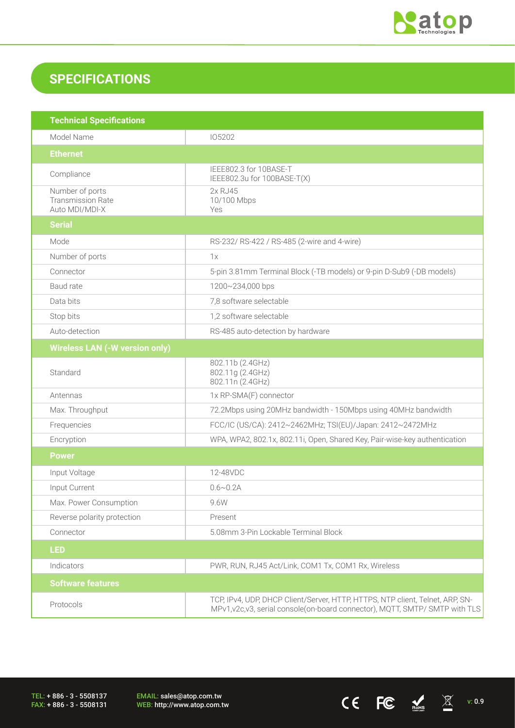

## **SPECIFICATIONS**

| <b>Technical Specifications</b>                               |                                                                                                                                                               |
|---------------------------------------------------------------|---------------------------------------------------------------------------------------------------------------------------------------------------------------|
| Model Name                                                    | 105202                                                                                                                                                        |
| <b>Ethernet</b>                                               |                                                                                                                                                               |
| Compliance                                                    | IEEE802.3 for 10BASE-T<br>IEEE802.3u for 100BASE-T(X)                                                                                                         |
| Number of ports<br><b>Transmission Rate</b><br>Auto MDI/MDI-X | 2x RJ45<br>10/100 Mbps<br>Yes                                                                                                                                 |
| <b>Serial</b>                                                 |                                                                                                                                                               |
| Mode                                                          | RS-232/ RS-422 / RS-485 (2-wire and 4-wire)                                                                                                                   |
| Number of ports                                               | 1x                                                                                                                                                            |
| Connector                                                     | 5-pin 3.81mm Terminal Block (-TB models) or 9-pin D-Sub9 (-DB models)                                                                                         |
| Baud rate                                                     | 1200~234,000 bps                                                                                                                                              |
| Data bits                                                     | 7,8 software selectable                                                                                                                                       |
| Stop bits                                                     | 1,2 software selectable                                                                                                                                       |
| Auto-detection                                                | RS-485 auto-detection by hardware                                                                                                                             |
| <b>Wireless LAN (-W version only)</b>                         |                                                                                                                                                               |
| Standard                                                      | 802.11b (2.4GHz)<br>802.11g (2.4GHz)<br>802.11n (2.4GHz)                                                                                                      |
| Antennas                                                      | 1x RP-SMA(F) connector                                                                                                                                        |
| Max. Throughput                                               | 72.2Mbps using 20MHz bandwidth - 150Mbps using 40MHz bandwidth                                                                                                |
| Frequencies                                                   | FCC/IC (US/CA): 2412~2462MHz; TSI(EU)/Japan: 2412~2472MHz                                                                                                     |
| Encryption                                                    | WPA, WPA2, 802.1x, 802.11i, Open, Shared Key, Pair-wise-key authentication                                                                                    |
| <b>Power</b>                                                  |                                                                                                                                                               |
| Input Voltage                                                 | 12-48VDC                                                                                                                                                      |
| Input Current                                                 | $0.6 \sim 0.2$ A                                                                                                                                              |
| Max. Power Consumption                                        | 9.6W                                                                                                                                                          |
| Reverse polarity protection                                   | Present                                                                                                                                                       |
| Connector                                                     | 5.08mm 3-Pin Lockable Terminal Block                                                                                                                          |
| <b>LED</b>                                                    |                                                                                                                                                               |
| Indicators                                                    | PWR, RUN, RJ45 Act/Link, COM1 Tx, COM1 Rx, Wireless                                                                                                           |
| <b>Software features</b>                                      |                                                                                                                                                               |
| Protocols                                                     | TCP, IPv4, UDP, DHCP Client/Server, HTTP, HTTPS, NTP client, Telnet, ARP, SN-<br>MPv1, v2c, v3, serial console(on-board connector), MQTT, SMTP/ SMTP with TLS |

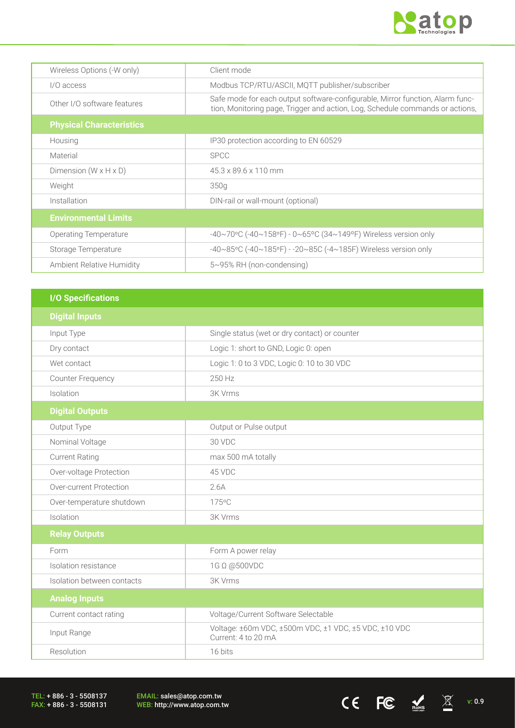

 $CE$  FC  $M_{\text{miss}}$   $\overline{\mathbb{X}}$  v: 0.9

| Wireless Options (-W only)        | Client mode                                                                                                                                                    |
|-----------------------------------|----------------------------------------------------------------------------------------------------------------------------------------------------------------|
| $1/0$ access                      | Modbus TCP/RTU/ASCII, MQTT publisher/subscriber                                                                                                                |
| Other I/O software features       | Safe mode for each output software-configurable, Mirror function, Alarm func-<br>tion, Monitoring page, Trigger and action, Log, Schedule commands or actions, |
| <b>Physical Characteristics</b>   |                                                                                                                                                                |
| Housing                           | IP30 protection according to EN 60529                                                                                                                          |
| Material                          | <b>SPCC</b>                                                                                                                                                    |
| Dimension $(W \times H \times D)$ | 45.3 x 89.6 x 110 mm                                                                                                                                           |
| Weight                            | 350g                                                                                                                                                           |
| Installation                      | DIN-rail or wall-mount (optional)                                                                                                                              |
| <b>Environmental Limits</b>       |                                                                                                                                                                |
| <b>Operating Temperature</b>      | -40~70°C (-40~158°F) - 0~65°C (34~149°F) Wireless version only                                                                                                 |
| Storage Temperature               | -40~85°C (-40~185°F) - -20~85C (-4~185F) Wireless version only                                                                                                 |
| Ambient Relative Humidity         | 5~95% RH (non-condensing)                                                                                                                                      |

| <b>I/O Specifications</b>  |                                                                              |
|----------------------------|------------------------------------------------------------------------------|
| <b>Digital Inputs</b>      |                                                                              |
| Input Type                 | Single status (wet or dry contact) or counter                                |
| Dry contact                | Logic 1: short to GND, Logic 0: open                                         |
| Wet contact                | Logic 1: 0 to 3 VDC, Logic 0: 10 to 30 VDC                                   |
| <b>Counter Frequency</b>   | 250 Hz                                                                       |
| Isolation                  | 3K Vrms                                                                      |
| <b>Digital Outputs</b>     |                                                                              |
| Output Type                | Output or Pulse output                                                       |
| Nominal Voltage            | 30 VDC                                                                       |
| <b>Current Rating</b>      | max 500 mA totally                                                           |
| Over-voltage Protection    | 45 VDC                                                                       |
| Over-current Protection    | 2.6A                                                                         |
| Over-temperature shutdown  | 175°C                                                                        |
| Isolation                  | <b>3K Vrms</b>                                                               |
| <b>Relay Outputs</b>       |                                                                              |
| Form                       | Form A power relay                                                           |
| Isolation resistance       | 1G Ω @500VDC                                                                 |
| Isolation between contacts | 3K Vrms                                                                      |
| <b>Analog Inputs</b>       |                                                                              |
| Current contact rating     | Voltage/Current Software Selectable                                          |
| Input Range                | Voltage: ±60m VDC, ±500m VDC, ±1 VDC, ±5 VDC, ±10 VDC<br>Current: 4 to 20 mA |
| Resolution                 | 16 bits                                                                      |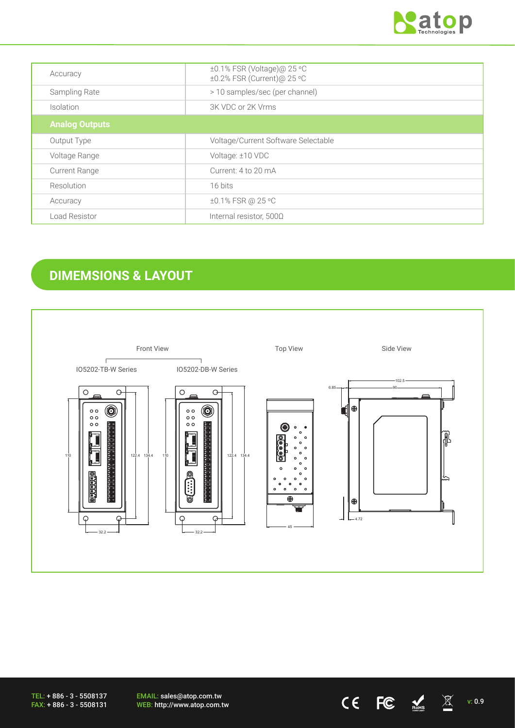

| Accuracy              | ±0.1% FSR (Voltage)@ 25 °C<br>±0.2% FSR (Current)@ 25 °C |
|-----------------------|----------------------------------------------------------|
| Sampling Rate         | > 10 samples/sec (per channel)                           |
| Isolation             | 3K VDC or 2K Vrms                                        |
| <b>Analog Outputs</b> |                                                          |
| Output Type           | Voltage/Current Software Selectable                      |
| Voltage Range         | Voltage: ±10 VDC                                         |
| <b>Current Range</b>  | Current: 4 to 20 mA                                      |
| Resolution            | 16 bits                                                  |
| Accuracy              | ±0.1% FSR @ 25 °C                                        |
| Load Resistor         | Internal resistor, 500Ω                                  |

# **DIMEMSIONS & LAYOUT**



TEL: + 886 - 3 - 5508137 FAX: + 886 - 3 - 5508131

EMAIL: sales@atop.com.tw EMAIL: sales@atop.com.tw<br>WEB: http://www.atop.com.tw  $\text{CE}$   $\text{EC}$   $\text{NC}$   $\text{N}$  v: 0.9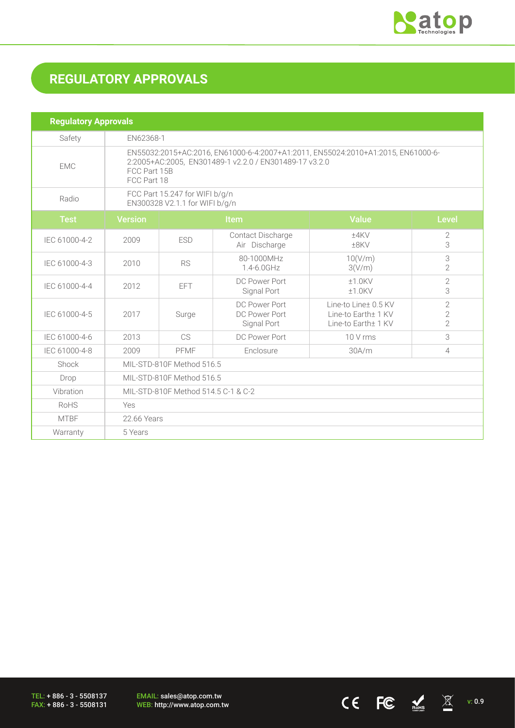

 $CE$  FC  $M \times 0.9$ 

# **REGULATORY APPROVALS**

| <b>Regulatory Approvals</b> |                                                                                                                                                                           |             |                                               |                                                                    |                                                    |  |
|-----------------------------|---------------------------------------------------------------------------------------------------------------------------------------------------------------------------|-------------|-----------------------------------------------|--------------------------------------------------------------------|----------------------------------------------------|--|
| Safety                      |                                                                                                                                                                           | EN62368-1   |                                               |                                                                    |                                                    |  |
| <b>EMC</b>                  | EN55032:2015+AC:2016, EN61000-6-4:2007+A1:2011, EN55024:2010+A1:2015, EN61000-6-<br>2:2005+AC:2005, EN301489-1 v2.2.0 / EN301489-17 v3.2.0<br>FCC Part 15B<br>FCC Part 18 |             |                                               |                                                                    |                                                    |  |
| Radio                       | FCC Part 15.247 for WIFI b/g/n<br>EN300328 V2.1.1 for WIFI b/g/n                                                                                                          |             |                                               |                                                                    |                                                    |  |
| <b>Test</b>                 | <b>Version</b>                                                                                                                                                            | <b>Item</b> |                                               | <b>Value</b>                                                       | <b>Level</b>                                       |  |
| IEC 61000-4-2               | 2009                                                                                                                                                                      | <b>ESD</b>  | Contact Discharge<br>Air Discharge            | ±4KV<br>$±8$ KV                                                    | 2<br>3                                             |  |
| IEC 61000-4-3               | 2010                                                                                                                                                                      | <b>RS</b>   | 80-1000MHz<br>1.4-6.0GHz                      | 10(V/m)<br>3(V/m)                                                  | $\ensuremath{\mathsf{3}}$<br>$\overline{2}$        |  |
| IEC 61000-4-4               | 2012                                                                                                                                                                      | EFT.        | DC Power Port<br>Signal Port                  | $±1.0$ KV<br>$±1.0$ KV                                             | $\overline{2}$<br>3                                |  |
| IEC 61000-4-5               | 2017                                                                                                                                                                      | Surge       | DC Power Port<br>DC Power Port<br>Signal Port | Line-to Line± 0.5 KV<br>Line-to Earth± 1 KV<br>Line-to Earth+ 1 KV | $\overline{2}$<br>$\overline{2}$<br>$\overline{2}$ |  |
| IEC 61000-4-6               | 2013                                                                                                                                                                      | CS.         | DC Power Port                                 | 10 V rms                                                           | 3                                                  |  |
| IEC 61000-4-8               | 2009                                                                                                                                                                      | PFMF        | Enclosure                                     | 30A/m                                                              | $\overline{4}$                                     |  |
| Shock                       | MIL-STD-810F Method 516.5                                                                                                                                                 |             |                                               |                                                                    |                                                    |  |
| Drop                        | MIL-STD-810F Method 516.5                                                                                                                                                 |             |                                               |                                                                    |                                                    |  |
| Vibration                   | MIL-STD-810F Method 514.5 C-1 & C-2                                                                                                                                       |             |                                               |                                                                    |                                                    |  |
| RoHS                        | Yes                                                                                                                                                                       |             |                                               |                                                                    |                                                    |  |
| <b>MTBF</b>                 | 22.66 Years                                                                                                                                                               |             |                                               |                                                                    |                                                    |  |
| Warranty                    | 5 Years                                                                                                                                                                   |             |                                               |                                                                    |                                                    |  |